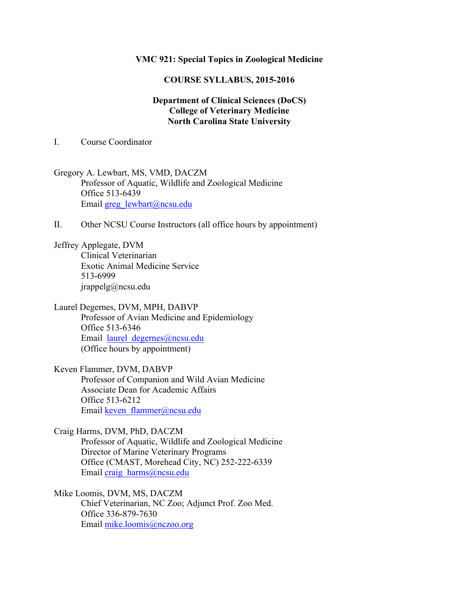## **VMC 921: Special Topics in Zoological Medicine**

## **COURSE SYLLABUS, 2015-2016**

## **Department of Clinical Sciences (DoCS) College of Veterinary Medicine North Carolina State University**

I. Course Coordinator

Gregory A. Lewbart, MS, VMD, DACZM Professor of Aquatic, Wildlife and Zoological Medicine Office 513-6439 Email greg\_lewbart@ncsu.edu

II. Other NCSU Course Instructors (all office hours by appointment)

Jeffrey Applegate, DVM Clinical Veterinarian Exotic Animal Medicine Service 513-6999 jrappelg@ncsu.edu

Laurel Degernes, DVM, MPH, DABVP Professor of Avian Medicine and Epidemiology Office 513-6346 Email laurel degernes@ncsu.edu (Office hours by appointment)

Keven Flammer, DVM, DABVP Professor of Companion and Wild Avian Medicine Associate Dean for Academic Affairs Office 513-6212 Email keven flammer@ncsu.edu

Craig Harms, DVM, PhD, DACZM Professor of Aquatic, Wildlife and Zoological Medicine Director of Marine Veterinary Programs Office (CMAST, Morehead City, NC) 252-222-6339 Email craig\_harms@ncsu.edu

Mike Loomis, DVM, MS, DACZM Chief Veterinarian, NC Zoo; Adjunct Prof. Zoo Med. Office 336-879-7630 Email mike.loomis@nczoo.org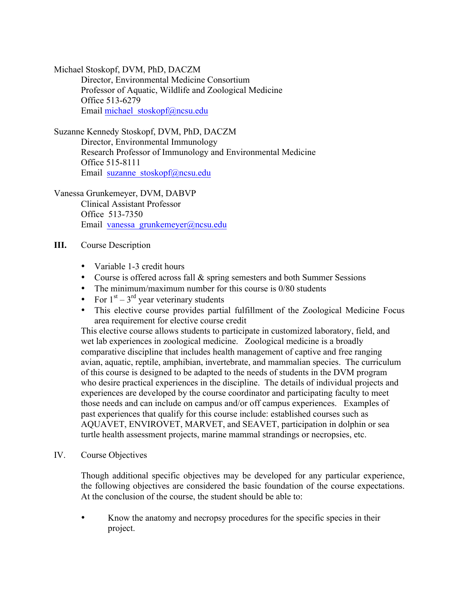Michael Stoskopf, DVM, PhD, DACZM

Director, Environmental Medicine Consortium Professor of Aquatic, Wildlife and Zoological Medicine Office 513-6279 Email michael\_stoskopf@ncsu.edu

Suzanne Kennedy Stoskopf, DVM, PhD, DACZM

Director, Environmental Immunology Research Professor of Immunology and Environmental Medicine Office 515-8111 Email suzanne stoskopf@ncsu.edu

Vanessa Grunkemeyer, DVM, DABVP

Clinical Assistant Professor Office 513-7350 Email vanessa\_grunkemeyer@ncsu.edu

- **III.** Course Description
	- Variable 1-3 credit hours
	- Course is offered across fall & spring semesters and both Summer Sessions
	- The minimum/maximum number for this course is 0/80 students
	- For  $1<sup>st</sup> 3<sup>rd</sup>$  year veterinary students
	- This elective course provides partial fulfillment of the Zoological Medicine Focus area requirement for elective course credit

This elective course allows students to participate in customized laboratory, field, and wet lab experiences in zoological medicine. Zoological medicine is a broadly comparative discipline that includes health management of captive and free ranging avian, aquatic, reptile, amphibian, invertebrate, and mammalian species. The curriculum of this course is designed to be adapted to the needs of students in the DVM program who desire practical experiences in the discipline. The details of individual projects and experiences are developed by the course coordinator and participating faculty to meet those needs and can include on campus and/or off campus experiences. Examples of past experiences that qualify for this course include: established courses such as AQUAVET, ENVIROVET, MARVET, and SEAVET, participation in dolphin or sea turtle health assessment projects, marine mammal strandings or necropsies, etc.

IV. Course Objectives

Though additional specific objectives may be developed for any particular experience, the following objectives are considered the basic foundation of the course expectations. At the conclusion of the course, the student should be able to:

• Know the anatomy and necropsy procedures for the specific species in their project.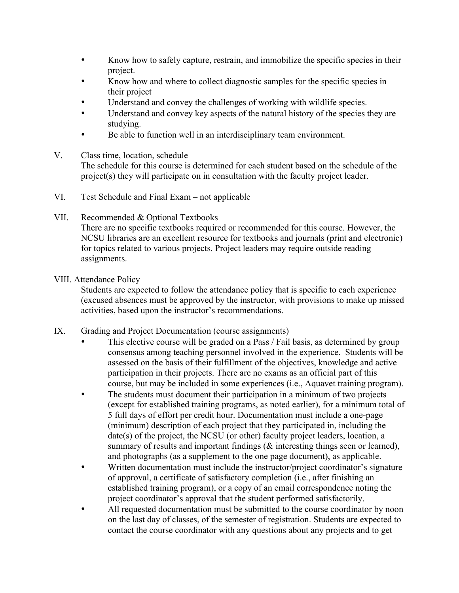- Know how to safely capture, restrain, and immobilize the specific species in their project.
- Know how and where to collect diagnostic samples for the specific species in their project
- Understand and convey the challenges of working with wildlife species.
- Understand and convey key aspects of the natural history of the species they are studying.
- Be able to function well in an interdisciplinary team environment.
- V. Class time, location, schedule The schedule for this course is determined for each student based on the schedule of the project(s) they will participate on in consultation with the faculty project leader.
- VI. Test Schedule and Final Exam not applicable
- VII. Recommended & Optional Textbooks There are no specific textbooks required or recommended for this course. However, the NCSU libraries are an excellent resource for textbooks and journals (print and electronic) for topics related to various projects. Project leaders may require outside reading assignments.
- VIII. Attendance Policy

Students are expected to follow the attendance policy that is specific to each experience (excused absences must be approved by the instructor, with provisions to make up missed activities, based upon the instructor's recommendations.

- IX. Grading and Project Documentation (course assignments)
	- This elective course will be graded on a Pass / Fail basis, as determined by group consensus among teaching personnel involved in the experience. Students will be assessed on the basis of their fulfillment of the objectives, knowledge and active participation in their projects. There are no exams as an official part of this course, but may be included in some experiences (i.e., Aquavet training program).
	- The students must document their participation in a minimum of two projects (except for established training programs, as noted earlier), for a minimum total of 5 full days of effort per credit hour. Documentation must include a one-page (minimum) description of each project that they participated in, including the date(s) of the project, the NCSU (or other) faculty project leaders, location, a summary of results and important findings ( $\&$  interesting things seen or learned), and photographs (as a supplement to the one page document), as applicable.
	- Written documentation must include the instructor/project coordinator's signature of approval, a certificate of satisfactory completion (i.e., after finishing an established training program), or a copy of an email correspondence noting the project coordinator's approval that the student performed satisfactorily.
	- All requested documentation must be submitted to the course coordinator by noon on the last day of classes, of the semester of registration. Students are expected to contact the course coordinator with any questions about any projects and to get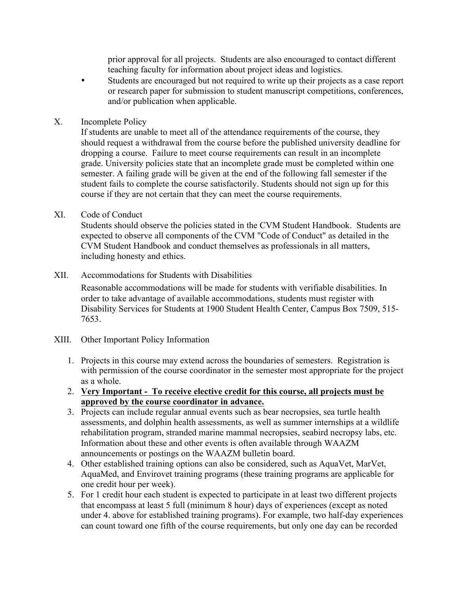prior approval for all projects. Students are also encouraged to contact different teaching faculty for information about project ideas and logistics.

- Students are encouraged but not required to write up their projects as a case report or research paper for submission to student manuscript competitions, conferences, and/or publication when applicable.
- X. Incomplete Policy

If students are unable to meet all of the attendance requirements of the course, they should request a withdrawal from the course before the published university deadline for dropping a course. Failure to meet course requirements can result in an incomplete grade. University policies state that an incomplete grade must be completed within one semester. A failing grade will be given at the end of the following fall semester if the student fails to complete the course satisfactorily. Students should not sign up for this course if they are not certain that they can meet the course requirements.

XI. Code of Conduct

Students should observe the policies stated in the CVM Student Handbook. Students are expected to observe all components of the CVM "Code of Conduct" as detailed in the CVM Student Handbook and conduct themselves as professionals in all matters, including honesty and ethics.

XII. Accommodations for Students with Disabilities

Reasonable accommodations will be made for students with verifiable disabilities. In order to take advantage of available accommodations, students must register with Disability Services for Students at 1900 Student Health Center, Campus Box 7509, 515- 7653.

- XIII. Other Important Policy Information
	- 1. Projects in this course may extend across the boundaries of semesters. Registration is with permission of the course coordinator in the semester most appropriate for the project as a whole.
	- 2. **Very Important - To receive elective credit for this course, all projects must be approved by the course coordinator in advance.**
	- 3. Projects can include regular annual events such as bear necropsies, sea turtle health assessments, and dolphin health assessments, as well as summer internships at a wildlife rehabilitation program, stranded marine mammal necropsies, seabird necropsy labs, etc. Information about these and other events is often available through WAAZM announcements or postings on the WAAZM bulletin board.
	- 4. Other established training options can also be considered, such as AquaVet, MarVet, AquaMed, and Envirovet training programs (these training programs are applicable for one credit hour per week).
	- 5. For 1 credit hour each student is expected to participate in at least two different projects that encompass at least 5 full (minimum 8 hour) days of experiences (except as noted under 4. above for established training programs). For example, two half-day experiences can count toward one fifth of the course requirements, but only one day can be recorded